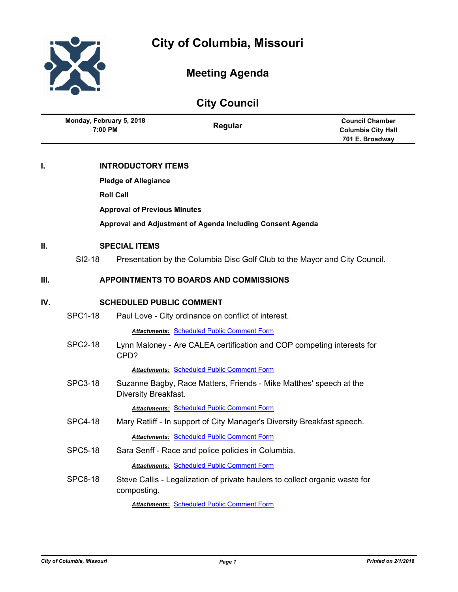



# **Meeting Agenda**

# **City Council**

|      | Monday, February 5, 2018<br>7:00 PM |                           | Regular                                                                     | <b>Council Chamber</b><br><b>Columbia City Hall</b><br>701 E. Broadway |  |
|------|-------------------------------------|---------------------------|-----------------------------------------------------------------------------|------------------------------------------------------------------------|--|
| ı.   |                                     | <b>INTRODUCTORY ITEMS</b> |                                                                             |                                                                        |  |
|      | <b>Pledge of Allegiance</b>         |                           |                                                                             |                                                                        |  |
|      | <b>Roll Call</b>                    |                           |                                                                             |                                                                        |  |
|      | <b>Approval of Previous Minutes</b> |                           |                                                                             |                                                                        |  |
|      |                                     |                           | Approval and Adjustment of Agenda Including Consent Agenda                  |                                                                        |  |
| Ш.   | <b>SPECIAL ITEMS</b>                |                           |                                                                             |                                                                        |  |
|      | SI2-18                              |                           | Presentation by the Columbia Disc Golf Club to the Mayor and City Council.  |                                                                        |  |
| III. |                                     |                           | <b>APPOINTMENTS TO BOARDS AND COMMISSIONS</b>                               |                                                                        |  |
| IV.  | <b>SCHEDULED PUBLIC COMMENT</b>     |                           |                                                                             |                                                                        |  |
|      | <b>SPC1-18</b>                      |                           | Paul Love - City ordinance on conflict of interest.                         |                                                                        |  |
|      |                                     |                           | <b>Attachments: Scheduled Public Comment Form</b>                           |                                                                        |  |
|      | <b>SPC2-18</b>                      | CPD?                      | Lynn Maloney - Are CALEA certification and COP competing interests for      |                                                                        |  |
|      |                                     |                           | <b>Attachments: Scheduled Public Comment Form</b>                           |                                                                        |  |
|      | <b>SPC3-18</b>                      | Diversity Breakfast.      | Suzanne Bagby, Race Matters, Friends - Mike Matthes' speech at the          |                                                                        |  |
|      |                                     |                           | <b>Attachments: Scheduled Public Comment Form</b>                           |                                                                        |  |
|      | <b>SPC4-18</b>                      |                           | Mary Ratliff - In support of City Manager's Diversity Breakfast speech.     |                                                                        |  |
|      |                                     |                           | <b>Attachments: Scheduled Public Comment Form</b>                           |                                                                        |  |
|      | <b>SPC5-18</b>                      |                           | Sara Senff - Race and police policies in Columbia.                          |                                                                        |  |
|      |                                     |                           | <b>Attachments: Scheduled Public Comment Form</b>                           |                                                                        |  |
|      | <b>SPC6-18</b>                      | composting.               | Steve Callis - Legalization of private haulers to collect organic waste for |                                                                        |  |
|      |                                     |                           | <b>Attachments: Scheduled Public Comment Form</b>                           |                                                                        |  |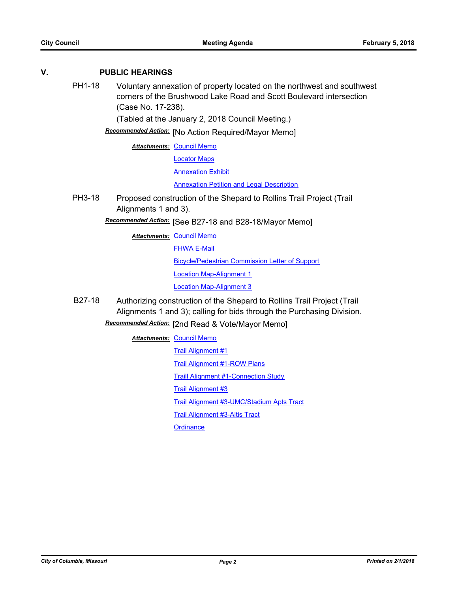## **V. PUBLIC HEARINGS**

PH1-18 Voluntary annexation of property located on the northwest and southwest corners of the Brushwood Lake Road and Scott Boulevard intersection (Case No. 17-238).

(Tabled at the January 2, 2018 Council Meeting.)

Recommended Action: [No Action Required/Mayor Memo]

**Attachments: [Council Memo](http://gocolumbiamo.legistar.com/gateway.aspx?M=F&ID=5d4c1668-d37b-484e-a2b7-240010c4f0c5.docx)** 

[Locator Maps](http://gocolumbiamo.legistar.com/gateway.aspx?M=F&ID=6796e7f7-69cf-4dbc-bf3c-16f49ec4c397.pdf)

[Annexation Exhibit](http://gocolumbiamo.legistar.com/gateway.aspx?M=F&ID=c6e7e791-b39a-48ae-bbfd-a9c5b92d59b0.pdf)

[Annexation Petition and Legal Description](http://gocolumbiamo.legistar.com/gateway.aspx?M=F&ID=67aa21f6-8a1a-457e-aef7-4b3825e78cf8.pdf)

PH3-18 Proposed construction of the Shepard to Rollins Trail Project (Trail Alignments 1 and 3).

Recommended Action: [See B27-18 and B28-18/Mayor Memo]

**Attachments: [Council Memo](http://gocolumbiamo.legistar.com/gateway.aspx?M=F&ID=8dbb9614-2bff-44da-8a12-a15ddfb082b4.docx)** 

**[FHWA E-Mail](http://gocolumbiamo.legistar.com/gateway.aspx?M=F&ID=107ade43-687b-4eda-8158-1855c908084a.pdf)** 

[Bicycle/Pedestrian Commission Letter of Support](http://gocolumbiamo.legistar.com/gateway.aspx?M=F&ID=d4cef084-9562-4ce7-b79e-dd86e86ff0d0.pdf)

[Location Map-Alignment 1](http://gocolumbiamo.legistar.com/gateway.aspx?M=F&ID=5375780b-00e9-4921-9f7d-7b2d4182bc29.pdf)

[Location Map-Alignment 3](http://gocolumbiamo.legistar.com/gateway.aspx?M=F&ID=bde048ac-63c9-4832-b7bf-e4b69e8730c3.pdf)

B27-18 Authorizing construction of the Shepard to Rollins Trail Project (Trail Alignments 1 and 3); calling for bids through the Purchasing Division. **Recommended Action:** [2nd Read & Vote/Mayor Memo]

**Attachments: [Council Memo](http://gocolumbiamo.legistar.com/gateway.aspx?M=F&ID=5d34a711-0d4f-4358-8514-2b9861d8a75e.docx)** [Trail Alignment #1](http://gocolumbiamo.legistar.com/gateway.aspx?M=F&ID=6100ee59-7df5-42c5-b339-ffc0db7c21e9.pdf) [Trail Alignment #1-ROW Plans](http://gocolumbiamo.legistar.com/gateway.aspx?M=F&ID=3c4c5c1b-c0cb-4a88-b8ed-620cfa8ce8ef.pdf) [Traill Alignment #1-Connection Study](http://gocolumbiamo.legistar.com/gateway.aspx?M=F&ID=b2ed092f-422c-4e8f-a2eb-0af0de14ef40.pdf) [Trail Alignment #3](http://gocolumbiamo.legistar.com/gateway.aspx?M=F&ID=34adea0a-eed1-4fb8-a78e-7ef8c38cd3ae.pdf) [Trail Alignment #3-UMC/Stadium Apts Tract](http://gocolumbiamo.legistar.com/gateway.aspx?M=F&ID=0679464d-6e0a-442d-9d55-f506cb2c1075.pdf) [Trail Alignment #3-Altis Tract](http://gocolumbiamo.legistar.com/gateway.aspx?M=F&ID=c7de4bd1-bb18-49e5-9378-d62a5b6d4543.pdf) **[Ordinance](http://gocolumbiamo.legistar.com/gateway.aspx?M=F&ID=95abfa9c-c1e6-4f38-8df8-95a977462e60.doc)**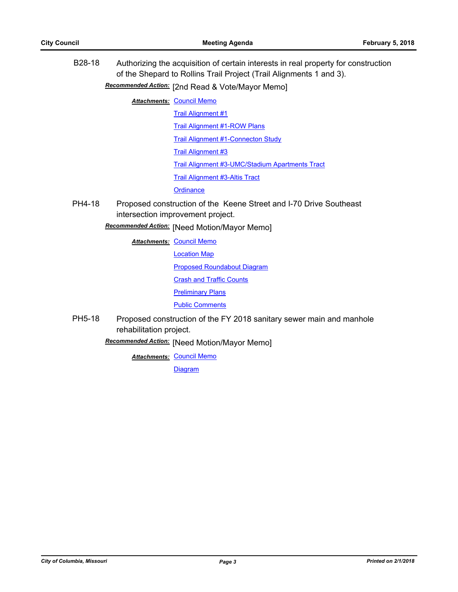| B <sub>28</sub> -18 | Authorizing the acquisition of certain interests in real property for construction<br>of the Shepard to Rollins Trail Project (Trail Alignments 1 and 3).<br>Recommended Action: [2nd Read & Vote/Mayor Memo] |                                                 |  |  |
|---------------------|---------------------------------------------------------------------------------------------------------------------------------------------------------------------------------------------------------------|-------------------------------------------------|--|--|
|                     |                                                                                                                                                                                                               | <b>Attachments: Council Memo</b>                |  |  |
|                     |                                                                                                                                                                                                               | <b>Trail Alignment #1</b>                       |  |  |
|                     |                                                                                                                                                                                                               | <b>Trail Alignment #1-ROW Plans</b>             |  |  |
|                     |                                                                                                                                                                                                               | <b>Trail Alignment #1-Connecton Study</b>       |  |  |
|                     |                                                                                                                                                                                                               | <b>Trail Alignment #3</b>                       |  |  |
|                     |                                                                                                                                                                                                               | Trail Alignment #3-UMC/Stadium Apartments Tract |  |  |
|                     |                                                                                                                                                                                                               | <b>Trail Alignment #3-Altis Tract</b>           |  |  |
|                     |                                                                                                                                                                                                               | Ordinance                                       |  |  |
| PH4-18              | Proposed construction of the Keene Street and I-70 Drive Southeast<br>intersection improvement project.<br>Recommended Action: [Need Motion/Mayor Memo]                                                       |                                                 |  |  |
|                     |                                                                                                                                                                                                               | <b>Attachments: Council Memo</b>                |  |  |
|                     |                                                                                                                                                                                                               | <b>Location Map</b>                             |  |  |
|                     |                                                                                                                                                                                                               | <b>Proposed Roundabout Diagram</b>              |  |  |
|                     |                                                                                                                                                                                                               | <b>Crash and Traffic Counts</b>                 |  |  |
|                     |                                                                                                                                                                                                               | <b>Preliminary Plans</b>                        |  |  |
|                     |                                                                                                                                                                                                               | <b>Public Comments</b>                          |  |  |
| PH5-18              | Proposed construction of the FY 2018 sanitary sewer main and manhole<br>rehabilitation project.                                                                                                               |                                                 |  |  |
|                     |                                                                                                                                                                                                               | Recommended Action: [Need Motion/Mayor Memo]    |  |  |
|                     |                                                                                                                                                                                                               | <b>Attachments: Council Memo</b>                |  |  |
|                     |                                                                                                                                                                                                               | <b>Diagram</b>                                  |  |  |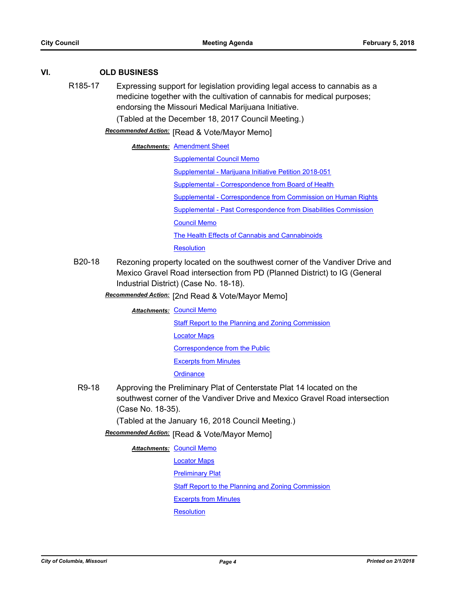## **VI. OLD BUSINESS**

R185-17 Expressing support for legislation providing legal access to cannabis as a medicine together with the cultivation of cannabis for medical purposes; endorsing the Missouri Medical Marijuana Initiative.

(Tabled at the December 18, 2017 Council Meeting.)

**Recommended Action:** [Read & Vote/Mayor Memo]

#### **Attachments: [Amendment Sheet](http://gocolumbiamo.legistar.com/gateway.aspx?M=F&ID=8ef4d82d-dfc2-4c8e-85f7-ed8826623fd5.doc)**

[Supplemental Council Memo](http://gocolumbiamo.legistar.com/gateway.aspx?M=F&ID=229f1d11-cbce-404a-b1a2-e3d227fae9d4.docx) [Supplemental - Marijuana Initiative Petition 2018-051](http://gocolumbiamo.legistar.com/gateway.aspx?M=F&ID=2d712ddf-11e9-4ce2-b213-40a8a0a62331.pdf) [Supplemental - Correspondence from Board of Health](http://gocolumbiamo.legistar.com/gateway.aspx?M=F&ID=22fcc842-16ed-4eee-8514-ba524ce5a168.pdf) [Supplemental - Correspondence from Commission on Human Rights](http://gocolumbiamo.legistar.com/gateway.aspx?M=F&ID=9e403e42-bcba-490d-bd63-5542d49e9acd.pdf) [Supplemental - Past Correspondence from Disabilities Commission](http://gocolumbiamo.legistar.com/gateway.aspx?M=F&ID=866d06dd-03a7-4906-a4f6-0ab5033be619.doc) [Council Memo](http://gocolumbiamo.legistar.com/gateway.aspx?M=F&ID=980b3af5-9178-48a4-af49-850d42ee9d5e.docx) [The Health Effects of Cannabis and Cannabinoids](http://gocolumbiamo.legistar.com/gateway.aspx?M=F&ID=e7b40e09-9d72-44fe-9225-34f02bd23e98.pdf) **[Resolution](http://gocolumbiamo.legistar.com/gateway.aspx?M=F&ID=8b76e458-93eb-49ec-836c-e14ab4df3e2d.doc)** 

B20-18 Rezoning property located on the southwest corner of the Vandiver Drive and Mexico Gravel Road intersection from PD (Planned District) to IG (General Industrial District) (Case No. 18-18).

# [2nd Read & Vote/Mayor Memo] *Recommended Action:*

**Attachments: [Council Memo](http://gocolumbiamo.legistar.com/gateway.aspx?M=F&ID=2cefd074-6229-4822-95dc-af3dc27fb063.docx)** 

**[Staff Report to the Planning and Zoning Commission](http://gocolumbiamo.legistar.com/gateway.aspx?M=F&ID=78e3990c-76af-42f0-a44b-53d47c1fef90.docx)** 

[Locator Maps](http://gocolumbiamo.legistar.com/gateway.aspx?M=F&ID=c3f768e3-a801-4de8-a4ac-034ff7e81fb3.pdf)

[Correspondence from the Public](http://gocolumbiamo.legistar.com/gateway.aspx?M=F&ID=88197c60-e3cd-4777-9d4c-f67f8ac36310.pdf)

[Excerpts from Minutes](http://gocolumbiamo.legistar.com/gateway.aspx?M=F&ID=3dcb8dbe-f5f4-4098-94d8-d5606cb7e895.docx)

**[Ordinance](http://gocolumbiamo.legistar.com/gateway.aspx?M=F&ID=d41051b1-2380-4770-847d-8404939d9243.doc)** 

R9-18 Approving the Preliminary Plat of Centerstate Plat 14 located on the southwest corner of the Vandiver Drive and Mexico Gravel Road intersection (Case No. 18-35).

(Tabled at the January 16, 2018 Council Meeting.)

**Recommended Action:** [Read & Vote/Mayor Memo]

**Attachments: [Council Memo](http://gocolumbiamo.legistar.com/gateway.aspx?M=F&ID=b7594feb-b589-474d-8e2b-58a568f25b9d.docx)** 

[Locator Maps](http://gocolumbiamo.legistar.com/gateway.aspx?M=F&ID=1054ac1e-ef39-4a18-90d6-ec60611c5993.pdf)

[Preliminary Plat](http://gocolumbiamo.legistar.com/gateway.aspx?M=F&ID=528e2d21-0ff4-447d-89ec-fc2c8eedd91f.pdf)

**[Staff Report to the Planning and Zoning Commission](http://gocolumbiamo.legistar.com/gateway.aspx?M=F&ID=e9e18155-5914-4db2-a52c-d144f9647b9d.docx)** 

[Excerpts from Minutes](http://gocolumbiamo.legistar.com/gateway.aspx?M=F&ID=9d6fddc9-392b-4125-9b35-d7276ece96f3.docx)

**[Resolution](http://gocolumbiamo.legistar.com/gateway.aspx?M=F&ID=82ac6268-6952-4df6-9c86-ac84c4693dde.doc)**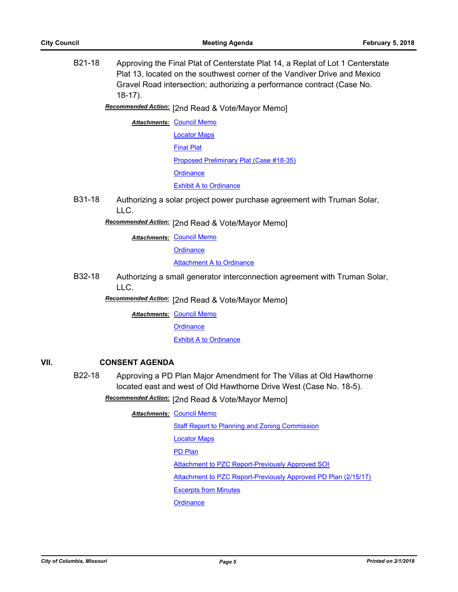|      | B21-18              | $18-17$ ).            | Approving the Final Plat of Centerstate Plat 14, a Replat of Lot 1 Centerstate<br>Plat 13, located on the southwest corner of the Vandiver Drive and Mexico<br>Gravel Road intersection; authorizing a performance contract (Case No. |
|------|---------------------|-----------------------|---------------------------------------------------------------------------------------------------------------------------------------------------------------------------------------------------------------------------------------|
|      |                     |                       | Recommended Action: [2nd Read & Vote/Mayor Memo]                                                                                                                                                                                      |
|      |                     |                       | <b>Attachments: Council Memo</b>                                                                                                                                                                                                      |
|      |                     |                       | <b>Locator Maps</b>                                                                                                                                                                                                                   |
|      |                     |                       | <b>Final Plat</b>                                                                                                                                                                                                                     |
|      |                     |                       | Proposed Preliminary Plat (Case #18-35)                                                                                                                                                                                               |
|      |                     |                       | <b>Ordinance</b>                                                                                                                                                                                                                      |
|      |                     |                       | <b>Exhibit A to Ordinance</b>                                                                                                                                                                                                         |
|      | B31-18              | LLC.                  | Authorizing a solar project power purchase agreement with Truman Solar,                                                                                                                                                               |
|      |                     |                       | Recommended Action: [2nd Read & Vote/Mayor Memo]                                                                                                                                                                                      |
|      |                     |                       | <b>Attachments: Council Memo</b>                                                                                                                                                                                                      |
|      |                     |                       | Ordinance                                                                                                                                                                                                                             |
|      |                     |                       | <b>Attachment A to Ordinance</b>                                                                                                                                                                                                      |
|      | B32-18              | LLC.                  | Authorizing a small generator interconnection agreement with Truman Solar,                                                                                                                                                            |
|      |                     |                       | Recommended Action: [2nd Read & Vote/Mayor Memo]                                                                                                                                                                                      |
|      |                     |                       | <b>Attachments: Council Memo</b>                                                                                                                                                                                                      |
|      |                     |                       | <b>Ordinance</b>                                                                                                                                                                                                                      |
|      |                     |                       | <b>Exhibit A to Ordinance</b>                                                                                                                                                                                                         |
| VII. |                     | <b>CONSENT AGENDA</b> |                                                                                                                                                                                                                                       |
|      | B <sub>22</sub> -18 |                       | Approving a PD Plan Major Amendment for The Villas at Old Hawthorne                                                                                                                                                                   |
|      |                     |                       | located east and west of Old Hawthorne Drive West (Case No. 18-5).                                                                                                                                                                    |
|      |                     |                       | Recommended Action: [2nd Read & Vote/Mayor Memo]                                                                                                                                                                                      |
|      |                     |                       | <b>Attachments: Council Memo</b>                                                                                                                                                                                                      |
|      |                     |                       | <b>Staff Report to Planning and Zoning Commission</b>                                                                                                                                                                                 |
|      |                     |                       | <b>Locator Maps</b>                                                                                                                                                                                                                   |

[PD Plan](http://gocolumbiamo.legistar.com/gateway.aspx?M=F&ID=3e66af4f-6a0d-4eee-937d-d3a9d5b9eb84.pdf)

[Attachment to PZC Report-Previously Approved SOI](http://gocolumbiamo.legistar.com/gateway.aspx?M=F&ID=076e9824-924e-485e-9e93-067c1a753d16.pdf)

[Attachment to PZC Report-Previously Approved PD Plan \(2/15/17\)](http://gocolumbiamo.legistar.com/gateway.aspx?M=F&ID=1753c1d0-bfc4-408d-b396-90c208b3d0a8.pdf)

[Excerpts from Minutes](http://gocolumbiamo.legistar.com/gateway.aspx?M=F&ID=0690ba45-2701-4625-bdb5-8c505657ae33.docx)

**[Ordinance](http://gocolumbiamo.legistar.com/gateway.aspx?M=F&ID=95f7dd56-f3eb-4808-b713-d1fa50d89a67.doc)**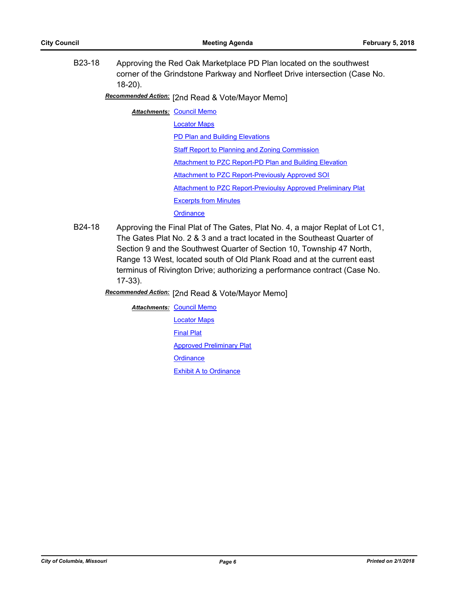B23-18 Approving the Red Oak Marketplace PD Plan located on the southwest corner of the Grindstone Parkway and Norfleet Drive intersection (Case No. 18-20).

[2nd Read & Vote/Mayor Memo] *Recommended Action:*

**Attachments: [Council Memo](http://gocolumbiamo.legistar.com/gateway.aspx?M=F&ID=462b5121-5e69-45eb-8673-cbb9df60aa3c.docx)** 

[Locator Maps](http://gocolumbiamo.legistar.com/gateway.aspx?M=F&ID=73df5822-ad40-466d-9fd7-d7eb324f9428.pdf)

[PD Plan and Building Elevations](http://gocolumbiamo.legistar.com/gateway.aspx?M=F&ID=033446df-1304-482d-8663-864ac16b9995.pdf)

[Staff Report to Planning and Zoning Commission](http://gocolumbiamo.legistar.com/gateway.aspx?M=F&ID=6db13a48-d1c1-4ab3-9568-117a325d8ff9.docx)

[Attachment to PZC Report-PD Plan and Building Elevation](http://gocolumbiamo.legistar.com/gateway.aspx?M=F&ID=74410c95-3fa0-4d37-be86-d8c7cd03128e.pdf)

[Attachment to PZC Report-Previously Approved SOI](http://gocolumbiamo.legistar.com/gateway.aspx?M=F&ID=e6b26c49-e5bd-4621-b7fb-0638fc861722.pdf)

[Attachment to PZC Report-Previoulsy Approved Preliminary Plat](http://gocolumbiamo.legistar.com/gateway.aspx?M=F&ID=018926d9-8db6-423c-ae5a-d156c449a9d1.pdf)

[Excerpts from Minutes](http://gocolumbiamo.legistar.com/gateway.aspx?M=F&ID=00a8bac5-91fb-499e-9c2a-02075009ff40.docx)

**[Ordinance](http://gocolumbiamo.legistar.com/gateway.aspx?M=F&ID=ea03f12e-b850-4c57-a939-b36689c62965.doc)** 

B24-18 Approving the Final Plat of The Gates, Plat No. 4, a major Replat of Lot C1, The Gates Plat No. 2 & 3 and a tract located in the Southeast Quarter of Section 9 and the Southwest Quarter of Section 10, Township 47 North, Range 13 West, located south of Old Plank Road and at the current east terminus of Rivington Drive; authorizing a performance contract (Case No. 17-33).

**Recommended Action:** [2nd Read & Vote/Mayor Memo]

**Attachments: [Council Memo](http://gocolumbiamo.legistar.com/gateway.aspx?M=F&ID=d5321b0a-a06d-4e05-aa67-ca2dff78bf89.docx)** [Locator Maps](http://gocolumbiamo.legistar.com/gateway.aspx?M=F&ID=7f1203ff-9e2a-4a65-9422-edf4f6c5b955.pdf) [Final Plat](http://gocolumbiamo.legistar.com/gateway.aspx?M=F&ID=ab22629a-9104-4654-8df5-941fe63de65e.pdf) [Approved Preliminary Plat](http://gocolumbiamo.legistar.com/gateway.aspx?M=F&ID=442763e4-b76b-4ddf-b97f-386c36a40776.pdf) **[Ordinance](http://gocolumbiamo.legistar.com/gateway.aspx?M=F&ID=2ef3e626-2436-41a9-bd6c-706a21a11535.doc)** [Exhibit A to Ordinance](http://gocolumbiamo.legistar.com/gateway.aspx?M=F&ID=01a11b46-5453-44ac-bb4a-0e46caebcd4d.pdf)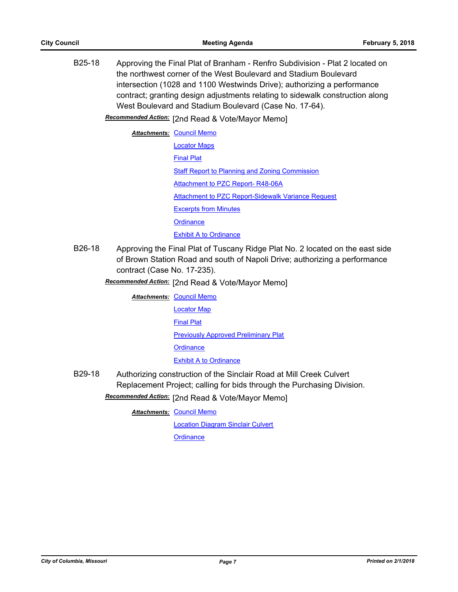B25-18 Approving the Final Plat of Branham - Renfro Subdivision - Plat 2 located on the northwest corner of the West Boulevard and Stadium Boulevard intersection (1028 and 1100 Westwinds Drive); authorizing a performance contract; granting design adjustments relating to sidewalk construction along West Boulevard and Stadium Boulevard (Case No. 17-64).

[2nd Read & Vote/Mayor Memo] *Recommended Action:*

| <b>Attachments: Council Memo</b>                          |
|-----------------------------------------------------------|
| <b>Locator Maps</b>                                       |
| <b>Final Plat</b>                                         |
| <b>Staff Report to Planning and Zoning Commission</b>     |
| Attachment to PZC Report- R48-06A                         |
| <b>Attachment to PZC Report-Sidewalk Variance Request</b> |
| <b>Excerpts from Minutes</b>                              |
| Ordinance                                                 |
| <b>Exhibit A to Ordinance</b>                             |

- B26-18 Approving the Final Plat of Tuscany Ridge Plat No. 2 located on the east side of Brown Station Road and south of Napoli Drive; authorizing a performance contract (Case No. 17-235).
	- **Recommended Action:** [2nd Read & Vote/Mayor Memo]

**Attachments: [Council Memo](http://gocolumbiamo.legistar.com/gateway.aspx?M=F&ID=dd86ac6f-9e34-4c94-ac3f-5da4e302515e.docx)** [Locator Map](http://gocolumbiamo.legistar.com/gateway.aspx?M=F&ID=b0da23cb-e1cc-48d8-b3cc-f13003e7505b.pdf) [Final Plat](http://gocolumbiamo.legistar.com/gateway.aspx?M=F&ID=c20f6069-0625-4f6b-b6d9-75cfad26f4a7.pdf) [Previously Approved Preliminary Plat](http://gocolumbiamo.legistar.com/gateway.aspx?M=F&ID=227d3fd5-be93-46e3-a8d2-8682f026e71b.pdf) **[Ordinance](http://gocolumbiamo.legistar.com/gateway.aspx?M=F&ID=0344d82a-28bc-4a61-9402-52aa37cdb99d.doc) [Exhibit A to Ordinance](http://gocolumbiamo.legistar.com/gateway.aspx?M=F&ID=41c34dbd-a446-425e-9432-644d6774cf67.pdf)** 

B29-18 Authorizing construction of the Sinclair Road at Mill Creek Culvert Replacement Project; calling for bids through the Purchasing Division.

Recommended Action: [2nd Read & Vote/Mayor Memo]

**Attachments: [Council Memo](http://gocolumbiamo.legistar.com/gateway.aspx?M=F&ID=c39f3f6d-ebfa-42b6-b72d-2c652bcaeb9b.docx)** 

[Location Diagram Sinclair Culvert](http://gocolumbiamo.legistar.com/gateway.aspx?M=F&ID=df7f69b3-4b69-489a-b2d3-b3c8e4668823.jpg)

**[Ordinance](http://gocolumbiamo.legistar.com/gateway.aspx?M=F&ID=a2e6b967-8b3e-44b2-9901-192a5a773dc3.doc)**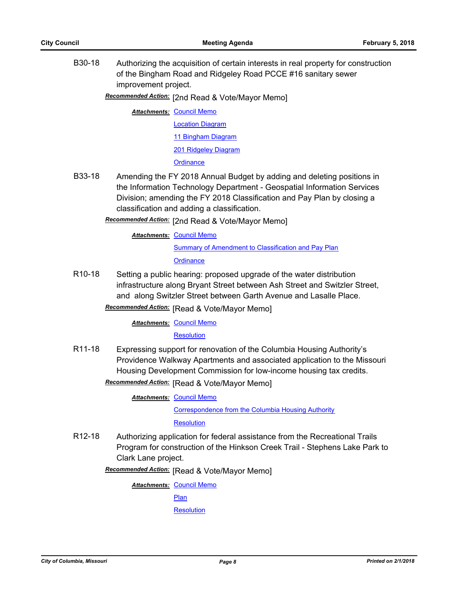B30-18 Authorizing the acquisition of certain interests in real property for construction of the Bingham Road and Ridgeley Road PCCE #16 sanitary sewer improvement project.

Recommended Action: [2nd Read & Vote/Mayor Memo]

**Attachments: [Council Memo](http://gocolumbiamo.legistar.com/gateway.aspx?M=F&ID=e5014b57-e675-4e8a-8361-d7d1b95b0c93.docx)** [Location Diagram](http://gocolumbiamo.legistar.com/gateway.aspx?M=F&ID=9b52f84e-17da-47e9-873d-9d811fc491a1.pdf) [11 Bingham Diagram](http://gocolumbiamo.legistar.com/gateway.aspx?M=F&ID=e2a71fe6-2be7-45c2-81fc-0114b2f1f42a.pdf) [201 Ridgeley Diagram](http://gocolumbiamo.legistar.com/gateway.aspx?M=F&ID=6e09fc5d-bd60-4443-8982-77eae1f68b19.pdf) **[Ordinance](http://gocolumbiamo.legistar.com/gateway.aspx?M=F&ID=b6283cd8-fe42-424d-8a88-6e2fbc41127e.doc)** 

- B33-18 Amending the FY 2018 Annual Budget by adding and deleting positions in the Information Technology Department - Geospatial Information Services Division; amending the FY 2018 Classification and Pay Plan by closing a classification and adding a classification.
	- Recommended Action: [2nd Read & Vote/Mayor Memo]

**Attachments: [Council Memo](http://gocolumbiamo.legistar.com/gateway.aspx?M=F&ID=fbbbb2bc-ceb0-4088-a0db-6ea1e13db524.docx) [Summary of Amendment to Classification and Pay Plan](http://gocolumbiamo.legistar.com/gateway.aspx?M=F&ID=9bcaa6f6-2a13-4e22-832e-c038f90853fa.doc) [Ordinance](http://gocolumbiamo.legistar.com/gateway.aspx?M=F&ID=4c2847f8-1d35-437a-ade8-8d57098f4ed5.doc)** 

- R10-18 Setting a public hearing: proposed upgrade of the water distribution infrastructure along Bryant Street between Ash Street and Switzler Street, and along Switzler Street between Garth Avenue and Lasalle Place.
	- **Recommended Action:** [Read & Vote/Mayor Memo]

#### **Attachments: [Council Memo](http://gocolumbiamo.legistar.com/gateway.aspx?M=F&ID=67d1ed00-aee5-42a1-b6ae-561f5574af01.docx)**

#### **[Resolution](http://gocolumbiamo.legistar.com/gateway.aspx?M=F&ID=c2a72140-ca9a-4896-aa0c-4b8d6e2364f5.doc)**

R11-18 Expressing support for renovation of the Columbia Housing Authority's Providence Walkway Apartments and associated application to the Missouri Housing Development Commission for low-income housing tax credits.

**Recommended Action:** [Read & Vote/Mayor Memo]

**Attachments: [Council Memo](http://gocolumbiamo.legistar.com/gateway.aspx?M=F&ID=1e52dbd5-af23-4ed6-8dc3-52fb213b0fad.docx)** 

[Correspondence from the Columbia Housing Authority](http://gocolumbiamo.legistar.com/gateway.aspx?M=F&ID=ad11c802-d771-4661-bef7-853c17fc4056.pdf) [Resolution](http://gocolumbiamo.legistar.com/gateway.aspx?M=F&ID=0024a89e-2769-4336-85a6-6fd9d5dd53ca.doc)

R12-18 Authorizing application for federal assistance from the Recreational Trails Program for construction of the Hinkson Creek Trail - Stephens Lake Park to Clark Lane project.

**Recommended Action:** [Read & Vote/Mayor Memo]

**Attachments: [Council Memo](http://gocolumbiamo.legistar.com/gateway.aspx?M=F&ID=d7daa23f-4594-4f34-a022-a9d6eed3d2fb.docx)** 

[Plan](http://gocolumbiamo.legistar.com/gateway.aspx?M=F&ID=c7e7919b-d544-4e95-a3f8-fa8c35acba24.pdf)

**[Resolution](http://gocolumbiamo.legistar.com/gateway.aspx?M=F&ID=910d5326-3450-427e-8587-dfdebb8209a2.doc)**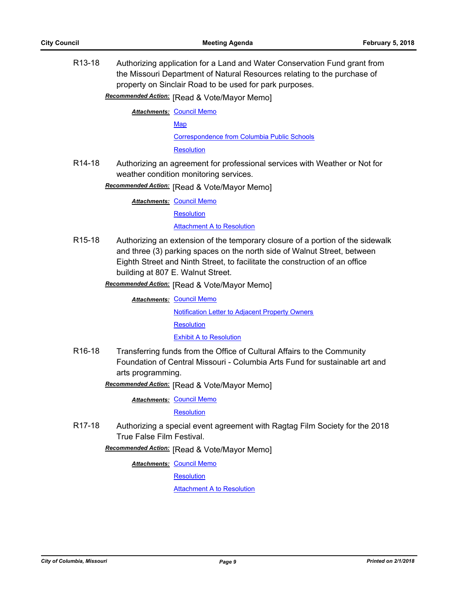R13-18 Authorizing application for a Land and Water Conservation Fund grant from the Missouri Department of Natural Resources relating to the purchase of property on Sinclair Road to be used for park purposes.

**Recommended Action:** [Read & Vote/Mayor Memo]

**Attachments: [Council Memo](http://gocolumbiamo.legistar.com/gateway.aspx?M=F&ID=7cfb1852-a711-4dc9-9393-52e63d789f76.docx)** 

[Map](http://gocolumbiamo.legistar.com/gateway.aspx?M=F&ID=568276c1-26f6-4ede-87cb-eb6bd55922d8.pdf)

[Correspondence from Columbia Public Schools](http://gocolumbiamo.legistar.com/gateway.aspx?M=F&ID=8276b132-dbb4-4ea8-aafd-f77e2283a05f.pdf)

**[Resolution](http://gocolumbiamo.legistar.com/gateway.aspx?M=F&ID=54e39bde-3247-46ff-849a-e7362dba3cd3.doc)** 

R14-18 Authorizing an agreement for professional services with Weather or Not for weather condition monitoring services.

**Recommended Action:** [Read & Vote/Mayor Memo]

**Attachments: [Council Memo](http://gocolumbiamo.legistar.com/gateway.aspx?M=F&ID=f6b3d447-102c-48be-a970-a7a101cbd049.docx)** 

**[Resolution](http://gocolumbiamo.legistar.com/gateway.aspx?M=F&ID=53e10432-9f76-4c56-8d32-b5c8d4bd1263.doc)** 

[Attachment A to Resolution](http://gocolumbiamo.legistar.com/gateway.aspx?M=F&ID=12ba8e12-ebcb-42b1-a02c-a5e649f75455.pdf)

R15-18 Authorizing an extension of the temporary closure of a portion of the sidewalk and three (3) parking spaces on the north side of Walnut Street, between Eighth Street and Ninth Street, to facilitate the construction of an office building at 807 E. Walnut Street.

**Recommended Action:** [Read & Vote/Mayor Memo]

**Attachments: [Council Memo](http://gocolumbiamo.legistar.com/gateway.aspx?M=F&ID=20733d03-0ce4-4bea-adc3-5af9633a4308.docx)** 

[Notification Letter to Adjacent Property Owners](http://gocolumbiamo.legistar.com/gateway.aspx?M=F&ID=f198d0d5-6a77-4bb0-81f7-6627a6162339.pdf)

**[Resolution](http://gocolumbiamo.legistar.com/gateway.aspx?M=F&ID=7cbe8443-665e-40a8-8293-ccd4f9e27978.doc)** 

[Exhibit A to Resolution](http://gocolumbiamo.legistar.com/gateway.aspx?M=F&ID=9016f6ea-0072-4e97-9f14-d4166154d99a.pdf)

R16-18 Transferring funds from the Office of Cultural Affairs to the Community Foundation of Central Missouri - Columbia Arts Fund for sustainable art and arts programming.

**Recommended Action:** [Read & Vote/Mayor Memo]

**Attachments: [Council Memo](http://gocolumbiamo.legistar.com/gateway.aspx?M=F&ID=5a5a01e3-0d59-4479-9754-f10e04811c3a.docx)** 

**[Resolution](http://gocolumbiamo.legistar.com/gateway.aspx?M=F&ID=52ca7d02-60e0-4fd7-9120-e13ac1695b45.doc)** 

R17-18 Authorizing a special event agreement with Ragtag Film Society for the 2018 True False Film Festival.

**Recommended Action:** [Read & Vote/Mayor Memo]

**Attachments: [Council Memo](http://gocolumbiamo.legistar.com/gateway.aspx?M=F&ID=baf4f1da-51a8-4d15-9d44-1cfa024abcc2.docx)** 

**[Resolution](http://gocolumbiamo.legistar.com/gateway.aspx?M=F&ID=4e2c7a36-2309-4faf-aa46-506a12e7565f.doc)** 

[Attachment A to Resolution](http://gocolumbiamo.legistar.com/gateway.aspx?M=F&ID=10e893fd-256b-489a-909f-2ce1ef2097be.pdf)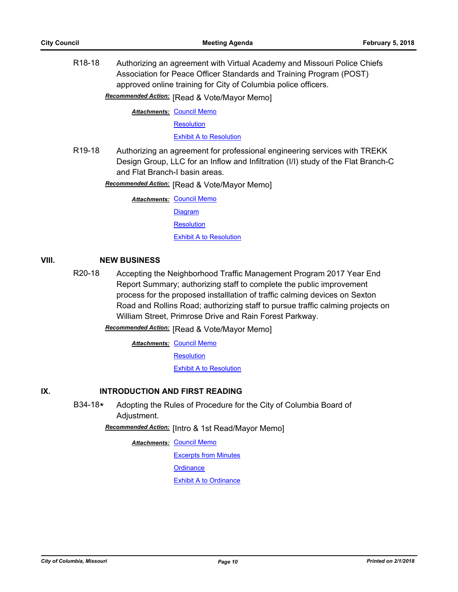R18-18 Authorizing an agreement with Virtual Academy and Missouri Police Chiefs Association for Peace Officer Standards and Training Program (POST) approved online training for City of Columbia police officers.

**Recommended Action:** [Read & Vote/Mayor Memo]

**Attachments: [Council Memo](http://gocolumbiamo.legistar.com/gateway.aspx?M=F&ID=bc552f24-aa04-484a-b9c0-5cd07f9ab516.docx)** 

**[Resolution](http://gocolumbiamo.legistar.com/gateway.aspx?M=F&ID=54b61b05-7d5b-4118-bb60-80199b61b40b.doc)** 

[Exhibit A to Resolution](http://gocolumbiamo.legistar.com/gateway.aspx?M=F&ID=dbfa951a-1e09-433f-be4c-9d3890860091.pdf)

R19-18 Authorizing an agreement for professional engineering services with TREKK Design Group, LLC for an Inflow and Infiltration (I/I) study of the Flat Branch-C and Flat Branch-I basin areas.

**Recommended Action:** [Read & Vote/Mayor Memo]

**Attachments: [Council Memo](http://gocolumbiamo.legistar.com/gateway.aspx?M=F&ID=8046193c-7ebe-4f43-8e7e-05bb59303962.docx)** 

**[Diagram](http://gocolumbiamo.legistar.com/gateway.aspx?M=F&ID=05192fcc-7e55-4848-8683-78221fe4a32c.pdf)** 

**[Resolution](http://gocolumbiamo.legistar.com/gateway.aspx?M=F&ID=417c1ce8-8e49-4ea0-b158-7ea049e9f871.doc)** 

[Exhibit A to Resolution](http://gocolumbiamo.legistar.com/gateway.aspx?M=F&ID=bc2a6aaa-0a0c-4478-b3f7-58687bfe0193.pdf)

# **VIII. NEW BUSINESS**

R20-18 Accepting the Neighborhood Traffic Management Program 2017 Year End Report Summary; authorizing staff to complete the public improvement process for the proposed installlation of traffic calming devices on Sexton Road and Rollins Road; authorizing staff to pursue traffic calming projects on William Street, Primrose Drive and Rain Forest Parkway.

**Recommended Action:** [Read & Vote/Mayor Memo]

**Attachments: [Council Memo](http://gocolumbiamo.legistar.com/gateway.aspx?M=F&ID=58e0d4f8-81c4-4a63-b804-2b0ccad8702c.docx)** 

**[Resolution](http://gocolumbiamo.legistar.com/gateway.aspx?M=F&ID=26020c8e-6954-4e60-8d22-3d7cac2ee1bc.doc)** 

[Exhibit A to Resolution](http://gocolumbiamo.legistar.com/gateway.aspx?M=F&ID=6dbf9bd6-baaf-4550-9087-f83e92836589.pdf)

## **IX. INTRODUCTION AND FIRST READING**

B34-18**\*** Adopting the Rules of Procedure for the City of Columbia Board of Adjustment.

**Recommended Action:** [Intro & 1st Read/Mayor Memo]

**Attachments: [Council Memo](http://gocolumbiamo.legistar.com/gateway.aspx?M=F&ID=322d5412-9829-4872-8f74-f121beffe2d2.docx)** 

[Excerpts from Minutes](http://gocolumbiamo.legistar.com/gateway.aspx?M=F&ID=3c449c90-1c68-413f-bee2-8b84c4cfec45.docx)

**[Ordinance](http://gocolumbiamo.legistar.com/gateway.aspx?M=F&ID=f0e0905c-918d-4f94-8c64-9b66eaa64960.doc)** 

[Exhibit A to Ordinance](http://gocolumbiamo.legistar.com/gateway.aspx?M=F&ID=941abf5f-28ae-422f-b0b4-1af5332c9770.doc)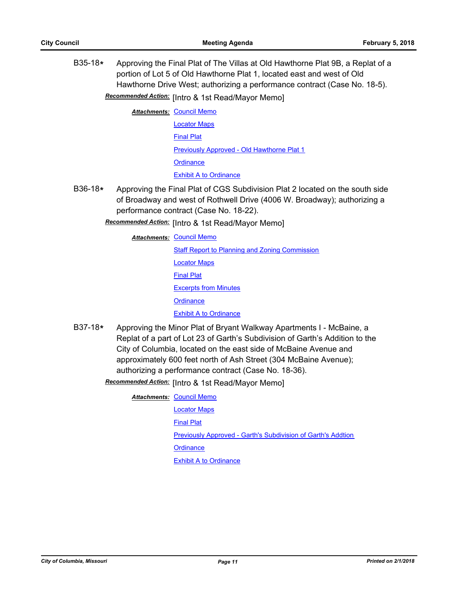B35-18**\*** Approving the Final Plat of The Villas at Old Hawthorne Plat 9B, a Replat of a portion of Lot 5 of Old Hawthorne Plat 1, located east and west of Old Hawthorne Drive West; authorizing a performance contract (Case No. 18-5).

**Recommended Action:** [Intro & 1st Read/Mayor Memo]

**Attachments: [Council Memo](http://gocolumbiamo.legistar.com/gateway.aspx?M=F&ID=df8b9dd2-ebf2-4271-9f56-40981a803928.docx)** [Locator Maps](http://gocolumbiamo.legistar.com/gateway.aspx?M=F&ID=d7fa1de1-51fe-4b15-85a7-568f67175ce6.pdf) [Final Plat](http://gocolumbiamo.legistar.com/gateway.aspx?M=F&ID=edeceba7-e70e-46e1-b78b-f48a441327d0.pdf) [Previously Approved - Old Hawthorne Plat 1](http://gocolumbiamo.legistar.com/gateway.aspx?M=F&ID=0195d95e-ed74-4413-9db9-86bb70159036.pdf) **[Ordinance](http://gocolumbiamo.legistar.com/gateway.aspx?M=F&ID=5fc08dc7-1b8a-4558-a69c-c03ebfb01b7a.doc)** [Exhibit A to Ordinance](http://gocolumbiamo.legistar.com/gateway.aspx?M=F&ID=948f1dcc-3204-4ff5-b02b-3cb2f2a01019.pdf)

- B36-18**\*** Approving the Final Plat of CGS Subdivision Plat 2 located on the south side of Broadway and west of Rothwell Drive (4006 W. Broadway); authorizing a performance contract (Case No. 18-22).
	- **Recommended Action:** [Intro & 1st Read/Mayor Memo]

**Attachments: [Council Memo](http://gocolumbiamo.legistar.com/gateway.aspx?M=F&ID=bc6fe6c9-bae6-4b29-b5f9-e2d30ef83b72.docx)** 

**[Staff Report to Planning and Zoning Commission](http://gocolumbiamo.legistar.com/gateway.aspx?M=F&ID=4a72b134-6318-4207-9086-40176702a0f2.docx)** [Locator Maps](http://gocolumbiamo.legistar.com/gateway.aspx?M=F&ID=69388979-4d95-4a03-8186-9f4b34be49be.pdf) [Final Plat](http://gocolumbiamo.legistar.com/gateway.aspx?M=F&ID=53b50aca-93e0-4b47-93ed-ad44120b38d6.pdf) [Excerpts from Minutes](http://gocolumbiamo.legistar.com/gateway.aspx?M=F&ID=2ca2932d-1de7-48b0-bf08-806f50742d65.docx) **[Ordinance](http://gocolumbiamo.legistar.com/gateway.aspx?M=F&ID=2eed6958-e45b-4574-96f5-cd67ae6fd771.doc)** [Exhibit A to Ordinance](http://gocolumbiamo.legistar.com/gateway.aspx?M=F&ID=280f9da2-927d-42fd-9fac-672aaeec5711.pdf) B37-18**\*** Approving the Minor Plat of Bryant Walkway Apartments I - McBaine, a

Replat of a part of Lot 23 of Garth's Subdivision of Garth's Addition to the City of Columbia, located on the east side of McBaine Avenue and approximately 600 feet north of Ash Street (304 McBaine Avenue); authorizing a performance contract (Case No. 18-36).

Recommended Action: [Intro & 1st Read/Mayor Memo]

**Attachments: [Council Memo](http://gocolumbiamo.legistar.com/gateway.aspx?M=F&ID=f2682a4c-7796-47bc-adf9-4122f04877dd.docx)** 

[Locator Maps](http://gocolumbiamo.legistar.com/gateway.aspx?M=F&ID=9d3323a3-8f04-4824-ad08-8663ad74d318.pdf) [Final Plat](http://gocolumbiamo.legistar.com/gateway.aspx?M=F&ID=6a493962-3233-4030-8080-ed4e13ad9a0e.pdf) [Previously Approved - Garth's Subdivision of Garth's Addtion](http://gocolumbiamo.legistar.com/gateway.aspx?M=F&ID=b6a36702-34ef-4564-8d20-7caedb802814.pdf) **[Ordinance](http://gocolumbiamo.legistar.com/gateway.aspx?M=F&ID=3b40a681-6101-4ede-9626-3b9e361d7d1b.doc) [Exhibit A to Ordinance](http://gocolumbiamo.legistar.com/gateway.aspx?M=F&ID=bcc8a773-59a0-4baa-8495-9a04c4b82d30.pdf)**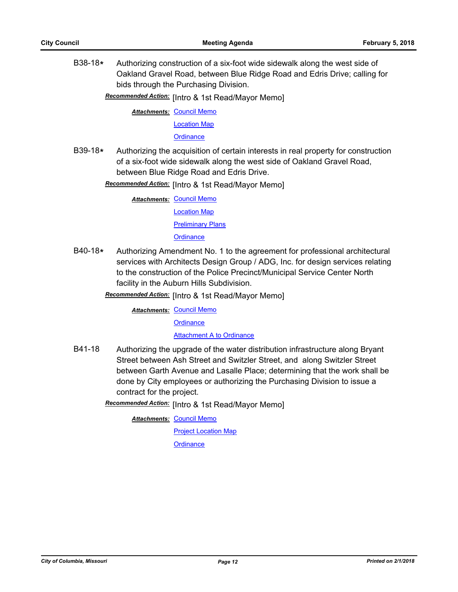B38-18**\*** Authorizing construction of a six-foot wide sidewalk along the west side of Oakland Gravel Road, between Blue Ridge Road and Edris Drive; calling for bids through the Purchasing Division.

Recommended Action: [Intro & 1st Read/Mayor Memo]

**Attachments: [Council Memo](http://gocolumbiamo.legistar.com/gateway.aspx?M=F&ID=63b33010-2c14-42dd-af9e-d7df66df3882.docx)** [Location Map](http://gocolumbiamo.legistar.com/gateway.aspx?M=F&ID=be7f30b2-8916-4855-9da1-b86f6ba759d4.pdf)

**[Ordinance](http://gocolumbiamo.legistar.com/gateway.aspx?M=F&ID=dd717308-864d-47e4-8bf8-10b16839dbde.doc)** 

B39-18**\*** Authorizing the acquisition of certain interests in real property for construction of a six-foot wide sidewalk along the west side of Oakland Gravel Road, between Blue Ridge Road and Edris Drive.

Recommended Action: [Intro & 1st Read/Mayor Memo]

**Attachments: [Council Memo](http://gocolumbiamo.legistar.com/gateway.aspx?M=F&ID=0e3d08c2-c610-4653-86f2-c2ab6cd60cc2.docx)** 

[Location Map](http://gocolumbiamo.legistar.com/gateway.aspx?M=F&ID=204de1a1-d1e5-441e-aaa8-ec8dd0cb83f3.pdf)

[Preliminary Plans](http://gocolumbiamo.legistar.com/gateway.aspx?M=F&ID=21b57f06-6a8b-473a-b1c1-e593b58626f3.pdf)

**[Ordinance](http://gocolumbiamo.legistar.com/gateway.aspx?M=F&ID=478599d7-90ae-4d73-9562-44f047117677.doc)** 

B40-18**\*** Authorizing Amendment No. 1 to the agreement for professional architectural services with Architects Design Group / ADG, Inc. for design services relating to the construction of the Police Precinct/Municipal Service Center North facility in the Auburn Hills Subdivision.

**Recommended Action:** [Intro & 1st Read/Mayor Memo]

**Attachments: [Council Memo](http://gocolumbiamo.legistar.com/gateway.aspx?M=F&ID=37017d04-ed5e-444d-ab08-77e3662e84b9.docx)** 

**[Ordinance](http://gocolumbiamo.legistar.com/gateway.aspx?M=F&ID=d352dfde-d8cc-4358-890a-ee7f945eb3fe.doc)** 

[Attachment A to Ordinance](http://gocolumbiamo.legistar.com/gateway.aspx?M=F&ID=9cff8a71-ccf7-4dcc-8962-b9c80d027f32.pdf)

B41-18 Authorizing the upgrade of the water distribution infrastructure along Bryant Street between Ash Street and Switzler Street, and along Switzler Street between Garth Avenue and Lasalle Place; determining that the work shall be done by City employees or authorizing the Purchasing Division to issue a contract for the project.

Recommended Action: [Intro & 1st Read/Mayor Memo]

**Attachments: [Council Memo](http://gocolumbiamo.legistar.com/gateway.aspx?M=F&ID=013a7450-12e3-44af-bff3-bf6691bcfadd.docx)** 

[Project Location Map](http://gocolumbiamo.legistar.com/gateway.aspx?M=F&ID=c9f65c3f-12c4-456c-8714-9477fb984267.pdf) **[Ordinance](http://gocolumbiamo.legistar.com/gateway.aspx?M=F&ID=c3378b1f-3471-48b0-aebc-9853c75a429f.doc)**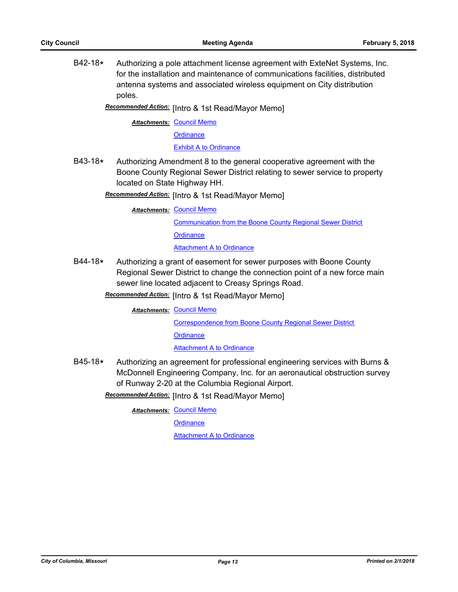B42-18**\*** Authorizing a pole attachment license agreement with ExteNet Systems, Inc. for the installation and maintenance of communications facilities, distributed antenna systems and associated wireless equipment on City distribution poles.

Recommended Action: [Intro & 1st Read/Mayor Memo]

**Attachments: [Council Memo](http://gocolumbiamo.legistar.com/gateway.aspx?M=F&ID=8c547b19-6bfc-4268-b923-bfbc822143c4.docx)** 

**[Ordinance](http://gocolumbiamo.legistar.com/gateway.aspx?M=F&ID=08577e91-f02c-48c0-905a-21fd6bca0001.doc)** 

[Exhibit A to Ordinance](http://gocolumbiamo.legistar.com/gateway.aspx?M=F&ID=281b99e2-595c-404f-9497-bf51fcb3333d.pdf)

B43-18**\*** Authorizing Amendment 8 to the general cooperative agreement with the Boone County Regional Sewer District relating to sewer service to property located on State Highway HH.

Recommended Action: [Intro & 1st Read/Mayor Memo]

**Attachments: [Council Memo](http://gocolumbiamo.legistar.com/gateway.aspx?M=F&ID=77e198c4-e8f9-4575-a8eb-15d07e7484af.docx)** 

[Communication from the Boone County Regional Sewer District](http://gocolumbiamo.legistar.com/gateway.aspx?M=F&ID=466f4dc1-70ce-42a7-a1e3-500b714ed0ba.pdf) **[Ordinance](http://gocolumbiamo.legistar.com/gateway.aspx?M=F&ID=38253f15-93e4-4abc-a28e-3ee4a46853a4.doc) [Attachment A to Ordinance](http://gocolumbiamo.legistar.com/gateway.aspx?M=F&ID=4d156b4c-3e44-42d8-bd5c-4aeff23f97f4.pdf)** 

B44-18**\*** Authorizing a grant of easement for sewer purposes with Boone County Regional Sewer District to change the connection point of a new force main sewer line located adjacent to Creasy Springs Road.

Recommended Action: [Intro & 1st Read/Mayor Memo]

**Attachments: [Council Memo](http://gocolumbiamo.legistar.com/gateway.aspx?M=F&ID=0aaf6b7c-635b-42e4-b6d6-79617306728b.docx)** 

[Correspondence from Boone County Regional Sewer District](http://gocolumbiamo.legistar.com/gateway.aspx?M=F&ID=419a1707-e513-4d14-80ba-c468174effe3.pdf) **[Ordinance](http://gocolumbiamo.legistar.com/gateway.aspx?M=F&ID=72204871-02a3-426c-bb3b-5650ad1eb8ca.doc)** 

**[Attachment A to Ordinance](http://gocolumbiamo.legistar.com/gateway.aspx?M=F&ID=3951ca17-8e50-41b5-94e2-1b9e2cfe6e45.pdf)** 

B45-18**\*** Authorizing an agreement for professional engineering services with Burns & McDonnell Engineering Company, Inc. for an aeronautical obstruction survey of Runway 2-20 at the Columbia Regional Airport.

Recommended Action: [Intro & 1st Read/Mayor Memo]

**Attachments: [Council Memo](http://gocolumbiamo.legistar.com/gateway.aspx?M=F&ID=faa867a3-0fc5-4545-a979-472569fce589.docx)** 

**[Ordinance](http://gocolumbiamo.legistar.com/gateway.aspx?M=F&ID=fc157763-fbbb-49bc-aac9-92651ece6467.doc)** 

[Attachment A to Ordinance](http://gocolumbiamo.legistar.com/gateway.aspx?M=F&ID=c7c03239-5592-4495-879e-e2b6c745e67d.pdf)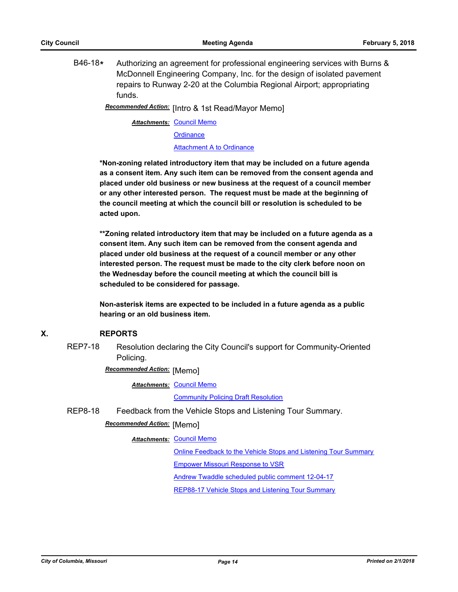B46-18**\*** Authorizing an agreement for professional engineering services with Burns & McDonnell Engineering Company, Inc. for the design of isolated pavement repairs to Runway 2-20 at the Columbia Regional Airport; appropriating funds.

Recommended Action: [Intro & 1st Read/Mayor Memo]

**Attachments: [Council Memo](http://gocolumbiamo.legistar.com/gateway.aspx?M=F&ID=1e681e17-2ba3-485b-ab32-1388c8dc9710.docx)** 

**[Ordinance](http://gocolumbiamo.legistar.com/gateway.aspx?M=F&ID=578016e7-564d-4096-85ca-9204975a0d51.doc)** 

[Attachment A to Ordinance](http://gocolumbiamo.legistar.com/gateway.aspx?M=F&ID=1e3b0f2e-aa01-45fe-a4c1-96418e4e4524.pdf)

**\*Non-zoning related introductory item that may be included on a future agenda as a consent item. Any such item can be removed from the consent agenda and placed under old business or new business at the request of a council member or any other interested person. The request must be made at the beginning of the council meeting at which the council bill or resolution is scheduled to be acted upon.** 

**\*\*Zoning related introductory item that may be included on a future agenda as a consent item. Any such item can be removed from the consent agenda and placed under old business at the request of a council member or any other interested person. The request must be made to the city clerk before noon on the Wednesday before the council meeting at which the council bill is scheduled to be considered for passage.**

**Non-asterisk items are expected to be included in a future agenda as a public hearing or an old business item.**

## **X. REPORTS**

REP7-18 Resolution declaring the City Council's support for Community-Oriented Policing.

**Recommended Action:** [Memo]

**Attachments: [Council Memo](http://gocolumbiamo.legistar.com/gateway.aspx?M=F&ID=535ab3fb-7874-4ed5-adff-41591abc1940.docx)** 

[Community Policing Draft Resolution](http://gocolumbiamo.legistar.com/gateway.aspx?M=F&ID=a68475cd-aa50-4eb8-be60-a56570123c1f.pdf)

REP8-18 Feedback from the Vehicle Stops and Listening Tour Summary.

**Recommended Action:** [Memo]

**Attachments: [Council Memo](http://gocolumbiamo.legistar.com/gateway.aspx?M=F&ID=b63bd844-6e1e-47f0-a6a8-28dd6e1ca255.docx)** 

[Online Feedback to the Vehicle Stops and Listening Tour Summary](http://gocolumbiamo.legistar.com/gateway.aspx?M=F&ID=f1529cb3-3073-4033-bae1-aa1eaa053f87.pdf)

[Empower Missouri Response to VSR](http://gocolumbiamo.legistar.com/gateway.aspx?M=F&ID=94b06a93-3b85-475a-a9f4-a57b8d03e09d.pdf)

[Andrew Twaddle scheduled public comment 12-04-17](http://gocolumbiamo.legistar.com/gateway.aspx?M=F&ID=dbad2531-1e9b-444a-92a8-ba01c70abf52.pdf)

[REP88-17 Vehicle Stops and Listening Tour Summary](http://gocolumbiamo.legistar.com/gateway.aspx?M=F&ID=87ee046e-b997-46e0-8cff-5b5a75c66750.pdf)